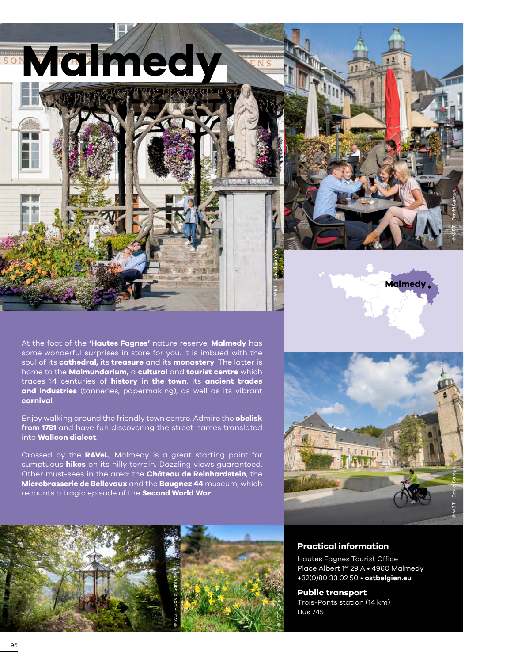

At the foot of the **'Hautes Fagnes'** nature reserve, **Malmedy** has some wonderful surprises in store for you. It is imbued with the soul of its **cathedral,** its **treasure** and its **monastery**. The latter is home to the **Malmundarium,** a **cultural** and **tourist centre** which traces 14 centuries of **history in the town**, its **ancient trades and industries** (tanneries, papermaking), as well as its vibrant **carnival**.

Enjoy walking around the friendly town centre. Admire the **obelisk from 1781** and have fun discovering the street names translated into **Walloon dialect**.

Crossed by the **RAVeL**, Malmedy is a great starting point for sumptuous **hikes** on its hilly terrain. Dazzling views guaranteed. Other must-sees in the area: the **Château de Reinhardstein**, the **Microbrasserie de Bellevaux** and the **Baugnez 44** museum, which recounts a tragic episode of the **Second World War**.



© WBT - David Samyn

**Malmedy**



#### **Practical information**

Hautes Fagnes Tourist Office Place Albert 1er 29 A • 4960 Malmedy +32(0)80 33 02 50 • **[ostbelgien.eu](https://www.ostbelgien.eu/fr)**

**Public transport** Trois-Ponts station (14 km) Bus 745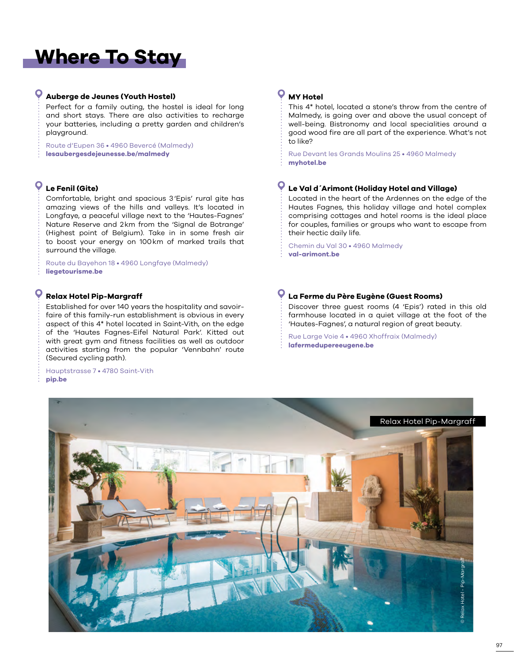# **Where To Stay**

### **Auberge de Jeunes (Youth Hostel)**

Perfect for a family outing, the hostel is ideal for long and short stays. There are also activities to recharge your batteries, including a pretty garden and children's playground.

Route d'Eupen 36 • 4960 Bevercé (Malmedy) **[lesaubergesdejeunesse.be/malmedy](https://www.lesaubergesdejeunesse.be/malmedy)**

## **Le Fenil (Gite)**

Q

Comfortable, bright and spacious 3'Epis' rural gite has amazing views of the hills and valleys. It's located in Longfaye, a peaceful village next to the 'Hautes-Fagnes' Nature Reserve and 2km from the 'Signal de Botrange' (Highest point of Belgium). Take in in some fresh air to boost your energy on 100km of marked trails that surround the village.

Route du Bayehon 18 • 4960 Longfaye (Malmedy) **[liegetourisme.be](https://www.liegetourisme.be/le-fenil.html)**

#### **Relax Hotel Pip-Margraff**

Established for over 140 years the hospitality and savoirfaire of this family-run establishment is obvious in every aspect of this 4\* hotel located in Saint-Vith, on the edge of the 'Hautes Fagnes-Eifel Natural Park'. Kitted out with great gym and fitness facilities as well as outdoor activities starting from the popular 'Vennbahn' route (Secured cycling path).

Hauptstrasse 7 • 4780 Saint-Vith **[pip.be](www.pip.be)**

## **MY Hotel**

This 4\* hotel, located a stone's throw from the centre of Malmedy, is going over and above the usual concept of well-being. Bistronomy and local specialities around a good wood fire are all part of the experience. What's not to like?

Rue Devant les Grands Moulins 25 • 4960 Malmedy **[myhotel.be](www.myhotel.be)**

#### $\bullet$ **Le Val d´Arimont (Holiday Hotel and Village)**

Located in the heart of the Ardennes on the edge of the Hautes Fagnes, this holiday village and hotel complex comprising cottages and hotel rooms is the ideal place for couples, families or groups who want to escape from their hectic daily life.

Chemin du Val 30 • 4960 Malmedy **[val-arimont.be](https://www.val-arimont.be)**

#### $\mathbf \circ$ **La Ferme du Père Eugène (Guest Rooms)**

Discover three guest rooms (4 'Epis') rated in this old farmhouse located in a quiet village at the foot of the 'Hautes-Fagnes', a natural region of great beauty.

Rue Large Voie 4 • 4960 Xhoffraix (Malmedy) **[lafermedupereeugene.be](www.lafermedupereeugene.be)**

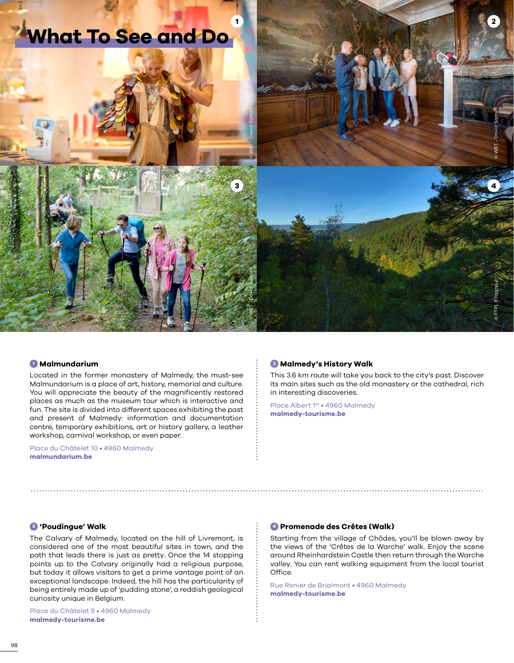

#### **<sup>1</sup> Malmundarium**

Located in the former monastery of Malmedy, the must-see Malmundarium is a place of art, history, memorial and culture. You will appreciate the beauty of the magnificently restored places as much as the museum tour which is interactive and fun. The site is divided into different spaces exhibiting the past and present of Malmedy: information and documentation centre, temporary exhibitions, art or history gallery, a leather workshop, carnival workshop, or even paper.

Place du Châtelet 10 • 4960 Malmedy **[malmundarium.be](http://www.malmundarium.be/)**

#### **<sup>2</sup> Malmedy's History Walk**

This 3.6 km route will take you back to the city's past. Discover its main sites such as the old monastery or the cathedral, rich in interesting discoveries.

Place Albert 1er • 4960 Malmedy **[malmedy-tourisme.be](https://www.malmedy-tourisme.be/fr/a-pied/itineraire-de-la-memoire/)**

#### **<sup>3</sup> 'Poudingue' Walk**

The Calvary of Malmedy, located on the hill of Livremont, is considered one of the most beautiful sites in town, and the path that leads there is just as pretty. Once the 14 stopping points up to the Calvary originally had a religious purpose, but today it allows visitors to get a prime vantage point of an exceptional landscape. Indeed, the hill has the particularity of being entirely made up of 'pudding stone', a reddish geological curiosity unique in Belgium.

Place du Châtelet 9 • 4960 Malmedy **[malmedy-tourisme.be](https://www.malmedy-tourisme.be/fr/a-pied/)**

#### **<sup>4</sup> Promenade des Crêtes (Walk)**

Starting from the village of Chôdes, you'll be blown away by the views of the 'Crêtes de la Warche' walk. Enjoy the scene around Rheinhardstein Castle then return through the Warche valley. You can rent walking equipment from the local tourist Office.

Rue Renier de Brialmont • 4960 Malmedy **[malmedy-tourisme.be](https://www.malmedy-tourisme.be/en/a-pied/panorama-way/)**